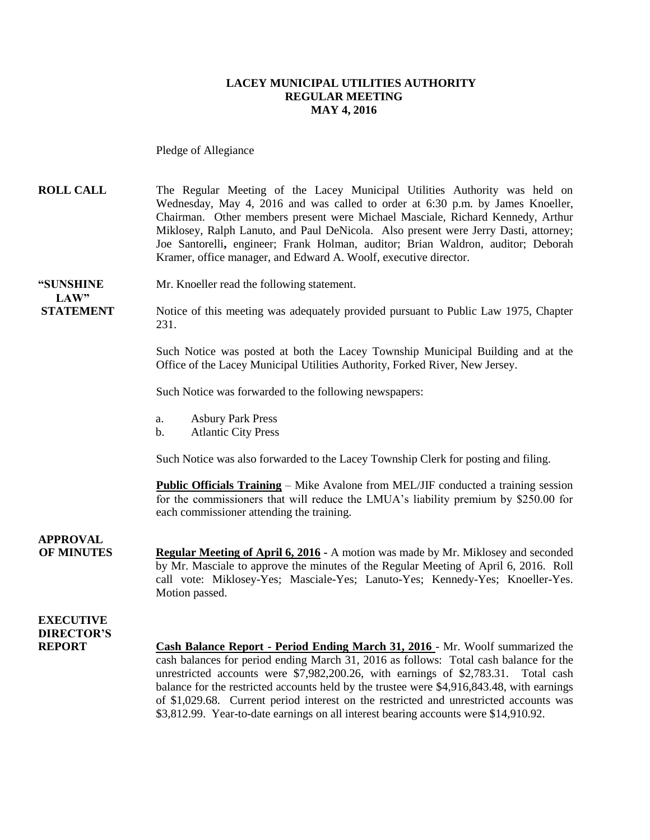#### **LACEY MUNICIPAL UTILITIES AUTHORITY REGULAR MEETING MAY 4, 2016**

Pledge of Allegiance

**ROLL CALL** The Regular Meeting of the Lacey Municipal Utilities Authority was held on Wednesday, May 4, 2016 and was called to order at 6:30 p.m. by James Knoeller, Chairman. Other members present were Michael Masciale, Richard Kennedy, Arthur Miklosey, Ralph Lanuto, and Paul DeNicola. Also present were Jerry Dasti, attorney; Joe Santorelli**,** engineer; Frank Holman, auditor; Brian Waldron, auditor; Deborah Kramer, office manager, and Edward A. Woolf, executive director.

# $LAW"$

**"SUNSHINE** Mr. Knoeller read the following statement.

**STATEMENT** Notice of this meeting was adequately provided pursuant to Public Law 1975, Chapter 231.

> Such Notice was posted at both the Lacey Township Municipal Building and at the Office of the Lacey Municipal Utilities Authority, Forked River, New Jersey.

Such Notice was forwarded to the following newspapers:

- a. Asbury Park Press
- b. Atlantic City Press

Such Notice was also forwarded to the Lacey Township Clerk for posting and filing.

**Public Officials Training** – Mike Avalone from MEL/JIF conducted a training session for the commissioners that will reduce the LMUA's liability premium by \$250.00 for each commissioner attending the training.

**APPROVAL**

**OF MINUTES Regular Meeting of April 6, 2016 -** A motion was made by Mr. Miklosey and seconded by Mr. Masciale to approve the minutes of the Regular Meeting of April 6, 2016. Roll call vote: Miklosey-Yes; Masciale-Yes; Lanuto-Yes; Kennedy-Yes; Knoeller-Yes. Motion passed.

#### **EXECUTIVE DIRECTOR'S**

**REPORT Cash Balance Report - Period Ending March 31, 2016** - Mr. Woolf summarized the cash balances for period ending March 31, 2016 as follows: Total cash balance for the unrestricted accounts were \$7,982,200.26, with earnings of \$2,783.31. Total cash balance for the restricted accounts held by the trustee were \$4,916,843.48, with earnings of \$1,029.68. Current period interest on the restricted and unrestricted accounts was \$3,812.99. Year-to-date earnings on all interest bearing accounts were \$14,910.92.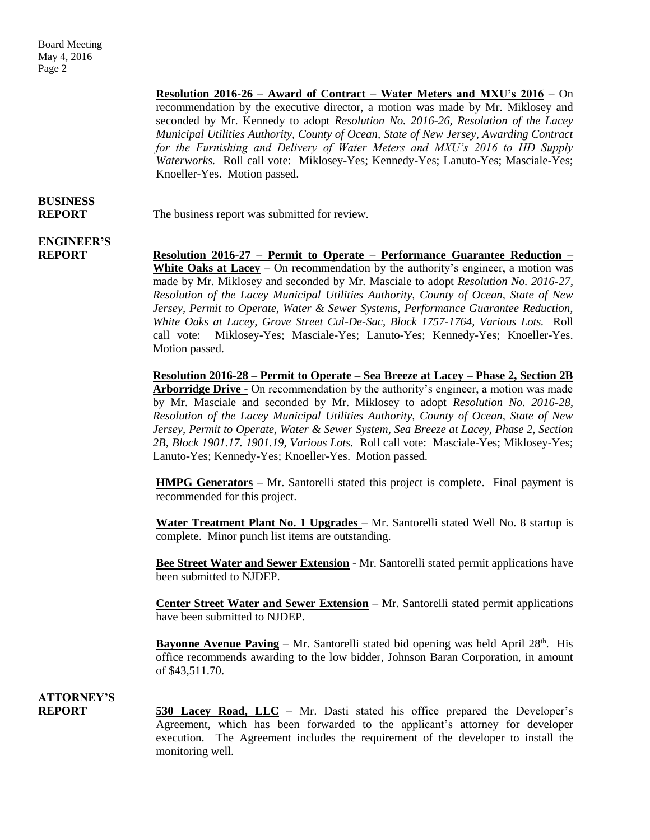> **Resolution 2016-26 – Award of Contract – Water Meters and MXU's 2016** – On recommendation by the executive director, a motion was made by Mr. Miklosey and seconded by Mr. Kennedy to adopt *Resolution No. 2016-26, Resolution of the Lacey Municipal Utilities Authority, County of Ocean, State of New Jersey, Awarding Contract for the Furnishing and Delivery of Water Meters and MXU's 2016 to HD Supply Waterworks.* Roll call vote: Miklosey-Yes; Kennedy-Yes; Lanuto-Yes; Masciale-Yes; Knoeller-Yes. Motion passed.

### **BUSINESS**

**REPORT** The business report was submitted for review.

### **ENGINEER'S**

**REPORT Resolution 2016-27 – Permit to Operate – Performance Guarantee Reduction – White Oaks at Lacey** – On recommendation by the authority's engineer, a motion was made by Mr. Miklosey and seconded by Mr. Masciale to adopt *Resolution No. 2016-27, Resolution of the Lacey Municipal Utilities Authority, County of Ocean, State of New Jersey, Permit to Operate, Water & Sewer Systems, Performance Guarantee Reduction, White Oaks at Lacey, Grove Street Cul-De-Sac, Block 1757-1764, Various Lots.* Roll call vote: Miklosey-Yes; Masciale-Yes; Lanuto-Yes; Kennedy-Yes; Knoeller-Yes. Motion passed.

> **Resolution 2016-28 – Permit to Operate – Sea Breeze at Lacey – Phase 2, Section 2B Arborridge Drive -** On recommendation by the authority's engineer, a motion was made by Mr. Masciale and seconded by Mr. Miklosey to adopt *Resolution No. 2016-28, Resolution of the Lacey Municipal Utilities Authority, County of Ocean, State of New Jersey, Permit to Operate, Water & Sewer System, Sea Breeze at Lacey, Phase 2, Section 2B, Block 1901.17. 1901.19, Various Lots.* Roll call vote: Masciale-Yes; Miklosey-Yes; Lanuto-Yes; Kennedy-Yes; Knoeller-Yes. Motion passed.

> **HMPG Generators** – Mr. Santorelli stated this project is complete. Final payment is recommended for this project.

> **Water Treatment Plant No. 1 Upgrades** – Mr. Santorelli stated Well No. 8 startup is complete. Minor punch list items are outstanding.

> **Bee Street Water and Sewer Extension** - Mr. Santorelli stated permit applications have been submitted to NJDEP.

> **Center Street Water and Sewer Extension** – Mr. Santorelli stated permit applications have been submitted to NJDEP.

> **Bayonne Avenue Paving** – Mr. Santorelli stated bid opening was held April 28<sup>th</sup>. His office recommends awarding to the low bidder, Johnson Baran Corporation, in amount of \$43,511.70.

#### **ATTORNEY'S**

**REPORT 530 Lacey Road, LLC** – Mr. Dasti stated his office prepared the Developer's Agreement, which has been forwarded to the applicant's attorney for developer execution. The Agreement includes the requirement of the developer to install the monitoring well.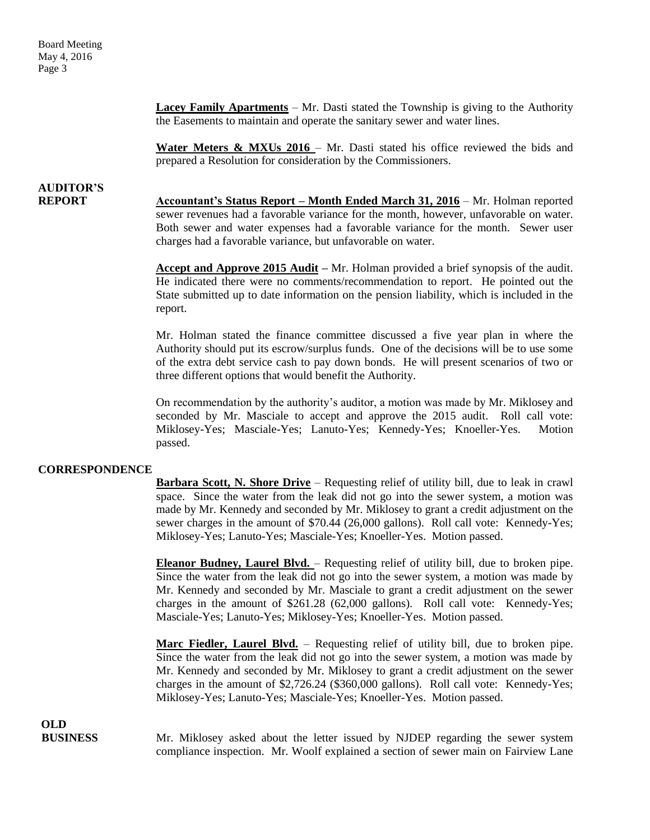> **Lacey Family Apartments** – Mr. Dasti stated the Township is giving to the Authority the Easements to maintain and operate the sanitary sewer and water lines.

> Water Meters & MXUs 2016 – Mr. Dasti stated his office reviewed the bids and prepared a Resolution for consideration by the Commissioners.

### **AUDITOR'S**

**REPORT Accountant's Status Report – Month Ended March 31, 2016** – Mr. Holman reported sewer revenues had a favorable variance for the month, however, unfavorable on water. Both sewer and water expenses had a favorable variance for the month. Sewer user charges had a favorable variance, but unfavorable on water.

> **Accept and Approve 2015 Audit –** Mr. Holman provided a brief synopsis of the audit. He indicated there were no comments/recommendation to report. He pointed out the State submitted up to date information on the pension liability, which is included in the report.

> Mr. Holman stated the finance committee discussed a five year plan in where the Authority should put its escrow/surplus funds. One of the decisions will be to use some of the extra debt service cash to pay down bonds. He will present scenarios of two or three different options that would benefit the Authority.

> On recommendation by the authority's auditor, a motion was made by Mr. Miklosey and seconded by Mr. Masciale to accept and approve the 2015 audit. Roll call vote: Miklosey-Yes; Masciale-Yes; Lanuto-Yes; Kennedy-Yes; Knoeller-Yes. Motion passed.

#### **CORRESPONDENCE**

**Barbara Scott, N. Shore Drive** – Requesting relief of utility bill, due to leak in crawl space. Since the water from the leak did not go into the sewer system, a motion was made by Mr. Kennedy and seconded by Mr. Miklosey to grant a credit adjustment on the sewer charges in the amount of \$70.44 (26,000 gallons). Roll call vote: Kennedy-Yes; Miklosey-Yes; Lanuto-Yes; Masciale-Yes; Knoeller-Yes. Motion passed.

**Eleanor Budney, Laurel Blvd.** – Requesting relief of utility bill, due to broken pipe. Since the water from the leak did not go into the sewer system, a motion was made by Mr. Kennedy and seconded by Mr. Masciale to grant a credit adjustment on the sewer charges in the amount of \$261.28 (62,000 gallons). Roll call vote: Kennedy-Yes; Masciale-Yes; Lanuto-Yes; Miklosey-Yes; Knoeller-Yes. Motion passed.

**Marc Fiedler, Laurel Blvd.** – Requesting relief of utility bill, due to broken pipe. Since the water from the leak did not go into the sewer system, a motion was made by Mr. Kennedy and seconded by Mr. Miklosey to grant a credit adjustment on the sewer charges in the amount of \$2,726.24 (\$360,000 gallons). Roll call vote: Kennedy-Yes; Miklosey-Yes; Lanuto-Yes; Masciale-Yes; Knoeller-Yes. Motion passed.

**OLD**

**BUSINESS** Mr. Miklosey asked about the letter issued by NJDEP regarding the sewer system compliance inspection. Mr. Woolf explained a section of sewer main on Fairview Lane